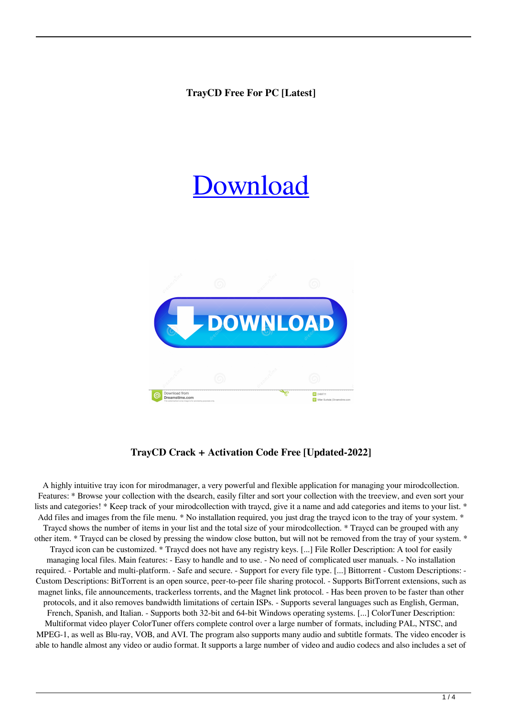#### **TrayCD Free For PC [Latest]**

# **Ownload**



**TrayCD Crack + Activation Code Free [Updated-2022]**

A highly intuitive tray icon for mirodmanager, a very powerful and flexible application for managing your mirodcollection. Features: \* Browse your collection with the dsearch, easily filter and sort your collection with the treeview, and even sort your lists and categories! \* Keep track of your mirodcollection with traycd, give it a name and add categories and items to your list. \* Add files and images from the file menu. \* No installation required, you just drag the traycd icon to the tray of your system. \* Traycd shows the number of items in your list and the total size of your mirodcollection. \* Traycd can be grouped with any other item. \* Traycd can be closed by pressing the window close button, but will not be removed from the tray of your system. \* Traycd icon can be customized. \* Traycd does not have any registry keys. [...] File Roller Description: A tool for easily managing local files. Main features: - Easy to handle and to use. - No need of complicated user manuals. - No installation required. - Portable and multi-platform. - Safe and secure. - Support for every file type. [...] Bittorrent - Custom Descriptions: - Custom Descriptions: BitTorrent is an open source, peer-to-peer file sharing protocol. - Supports BitTorrent extensions, such as magnet links, file announcements, trackerless torrents, and the Magnet link protocol. - Has been proven to be faster than other protocols, and it also removes bandwidth limitations of certain ISPs. - Supports several languages such as English, German, French, Spanish, and Italian. - Supports both 32-bit and 64-bit Windows operating systems. [...] ColorTuner Description: Multiformat video player ColorTuner offers complete control over a large number of formats, including PAL, NTSC, and MPEG-1, as well as Blu-ray, VOB, and AVI. The program also supports many audio and subtitle formats. The video encoder is able to handle almost any video or audio format. It supports a large number of video and audio codecs and also includes a set of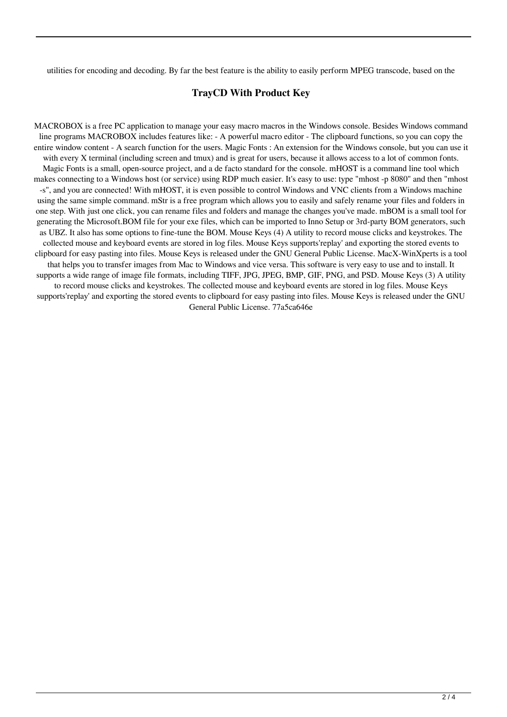utilities for encoding and decoding. By far the best feature is the ability to easily perform MPEG transcode, based on the

### **TrayCD With Product Key**

MACROBOX is a free PC application to manage your easy macro macros in the Windows console. Besides Windows command line programs MACROBOX includes features like: - A powerful macro editor - The clipboard functions, so you can copy the entire window content - A search function for the users. Magic Fonts : An extension for the Windows console, but you can use it with every X terminal (including screen and tmux) and is great for users, because it allows access to a lot of common fonts. Magic Fonts is a small, open-source project, and a de facto standard for the console. mHOST is a command line tool which makes connecting to a Windows host (or service) using RDP much easier. It's easy to use: type "mhost -p 8080" and then "mhost -s", and you are connected! With mHOST, it is even possible to control Windows and VNC clients from a Windows machine using the same simple command. mStr is a free program which allows you to easily and safely rename your files and folders in one step. With just one click, you can rename files and folders and manage the changes you've made. mBOM is a small tool for generating the Microsoft.BOM file for your exe files, which can be imported to Inno Setup or 3rd-party BOM generators, such as UBZ. It also has some options to fine-tune the BOM. Mouse Keys (4) A utility to record mouse clicks and keystrokes. The collected mouse and keyboard events are stored in log files. Mouse Keys supports'replay' and exporting the stored events to clipboard for easy pasting into files. Mouse Keys is released under the GNU General Public License. MacX-WinXperts is a tool that helps you to transfer images from Mac to Windows and vice versa. This software is very easy to use and to install. It supports a wide range of image file formats, including TIFF, JPG, JPEG, BMP, GIF, PNG, and PSD. Mouse Keys (3) A utility to record mouse clicks and keystrokes. The collected mouse and keyboard events are stored in log files. Mouse Keys supports'replay' and exporting the stored events to clipboard for easy pasting into files. Mouse Keys is released under the GNU General Public License. 77a5ca646e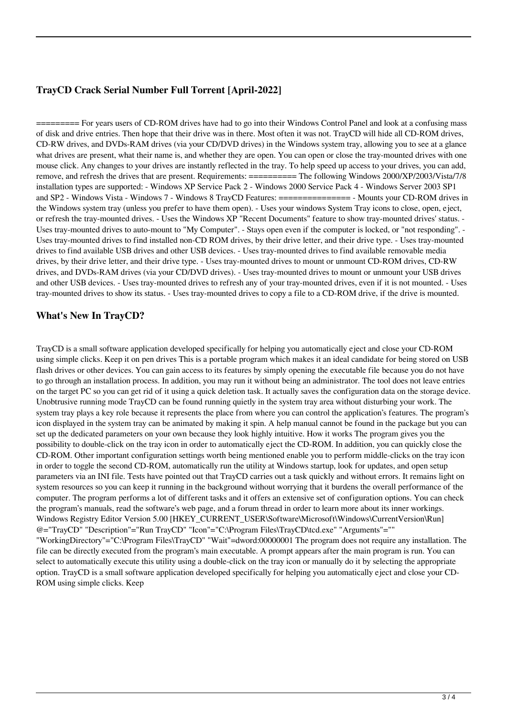## **TrayCD Crack Serial Number Full Torrent [April-2022]**

 $=$  For years users of CD-ROM drives have had to go into their Windows Control Panel and look at a confusing mass of disk and drive entries. Then hope that their drive was in there. Most often it was not. TrayCD will hide all CD-ROM drives, CD-RW drives, and DVDs-RAM drives (via your CD/DVD drives) in the Windows system tray, allowing you to see at a glance what drives are present, what their name is, and whether they are open. You can open or close the tray-mounted drives with one mouse click. Any changes to your drives are instantly reflected in the tray. To help speed up access to your drives, you can add, remove, and refresh the drives that are present. Requirements: ========== The following Windows 2000/XP/2003/Vista/7/8 installation types are supported: - Windows XP Service Pack 2 - Windows 2000 Service Pack 4 - Windows Server 2003 SP1 and SP2 - Windows Vista - Windows 7 - Windows 8 TrayCD Features: =============== - Mounts your CD-ROM drives in the Windows system tray (unless you prefer to have them open). - Uses your windows System Tray icons to close, open, eject, or refresh the tray-mounted drives. - Uses the Windows XP "Recent Documents" feature to show tray-mounted drives' status. - Uses tray-mounted drives to auto-mount to "My Computer". - Stays open even if the computer is locked, or "not responding". - Uses tray-mounted drives to find installed non-CD ROM drives, by their drive letter, and their drive type. - Uses tray-mounted drives to find available USB drives and other USB devices. - Uses tray-mounted drives to find available removable media drives, by their drive letter, and their drive type. - Uses tray-mounted drives to mount or unmount CD-ROM drives, CD-RW drives, and DVDs-RAM drives (via your CD/DVD drives). - Uses tray-mounted drives to mount or unmount your USB drives and other USB devices. - Uses tray-mounted drives to refresh any of your tray-mounted drives, even if it is not mounted. - Uses tray-mounted drives to show its status. - Uses tray-mounted drives to copy a file to a CD-ROM drive, if the drive is mounted.

### **What's New In TrayCD?**

TrayCD is a small software application developed specifically for helping you automatically eject and close your CD-ROM using simple clicks. Keep it on pen drives This is a portable program which makes it an ideal candidate for being stored on USB flash drives or other devices. You can gain access to its features by simply opening the executable file because you do not have to go through an installation process. In addition, you may run it without being an administrator. The tool does not leave entries on the target PC so you can get rid of it using a quick deletion task. It actually saves the configuration data on the storage device. Unobtrusive running mode TrayCD can be found running quietly in the system tray area without disturbing your work. The system tray plays a key role because it represents the place from where you can control the application's features. The program's icon displayed in the system tray can be animated by making it spin. A help manual cannot be found in the package but you can set up the dedicated parameters on your own because they look highly intuitive. How it works The program gives you the possibility to double-click on the tray icon in order to automatically eject the CD-ROM. In addition, you can quickly close the CD-ROM. Other important configuration settings worth being mentioned enable you to perform middle-clicks on the tray icon in order to toggle the second CD-ROM, automatically run the utility at Windows startup, look for updates, and open setup parameters via an INI file. Tests have pointed out that TrayCD carries out a task quickly and without errors. It remains light on system resources so you can keep it running in the background without worrying that it burdens the overall performance of the computer. The program performs a lot of different tasks and it offers an extensive set of configuration options. You can check the program's manuals, read the software's web page, and a forum thread in order to learn more about its inner workings. Windows Registry Editor Version 5.00 [HKEY\_CURRENT\_USER\Software\Microsoft\Windows\CurrentVersion\Run] @="TrayCD" "Description"="Run TrayCD" "Icon"="C:\Program Files\TrayCD\tcd.exe" "Arguments"="" "WorkingDirectory"="C:\Program Files\TrayCD" "Wait"=dword:00000001 The program does not require any installation. The file can be directly executed from the program's main executable. A prompt appears after the main program is run. You can select to automatically execute this utility using a double-click on the tray icon or manually do it by selecting the appropriate option. TrayCD is a small software application developed specifically for helping you automatically eject and close your CD-ROM using simple clicks. Keep